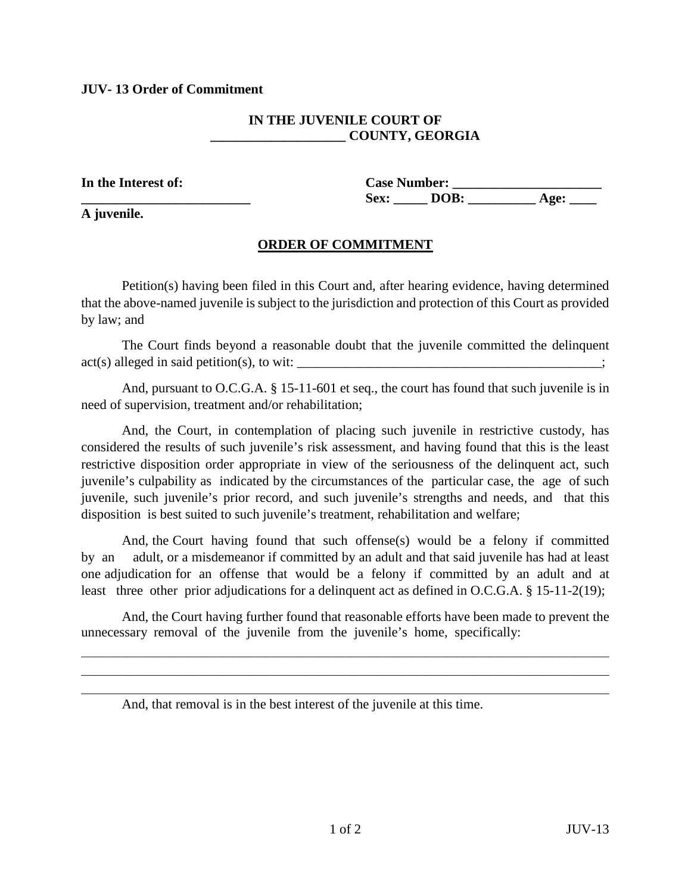## **JUV- 13 Order of Commitment**

## **IN THE JUVENILE COURT OF \_\_\_\_\_\_\_\_\_\_\_\_\_\_\_\_\_\_\_\_ COUNTY, GEORGIA**

**A juvenile.**

**In the Interest of: Case Number: \_\_\_\_\_\_\_\_\_\_\_\_\_\_\_\_\_\_\_\_\_\_**  Sex: <u>DOB: Age:</u>

## **ORDER OF COMMITMENT**

Petition(s) having been filed in this Court and, after hearing evidence, having determined that the above-named juvenile is subject to the jurisdiction and protection of this Court as provided by law; and

The Court finds beyond a reasonable doubt that the juvenile committed the delinquent  $act(s)$  alleged in said petition(s), to wit:  $\_\_\_\_\_\_\_\_\_\_\_\_\_\_\_\_\_\_$ 

And, pursuant to O.C.G.A. § 15-11-601 et seq., the court has found that such juvenile is in need of supervision, treatment and/or rehabilitation;

And, the Court, in contemplation of placing such juvenile in restrictive custody, has considered the results of such juvenile's risk assessment, and having found that this is the least restrictive disposition order appropriate in view of the seriousness of the delinquent act, such juvenile's culpability as indicated by the circumstances of the particular case, the age of such juvenile, such juvenile's prior record, and such juvenile's strengths and needs, and that this disposition is best suited to such juvenile's treatment, rehabilitation and welfare;

And, the Court having found that such offense(s) would be a felony if committed by an adult, or a misdemeanor if committed by an adult and that said juvenile has had at least one adjudication for an offense that would be a felony if committed by an adult and at least three other prior adjudications for a delinquent act as defined in O.C.G.A. § 15-11-2(19);

And, the Court having further found that reasonable efforts have been made to prevent the unnecessary removal of the juvenile from the juvenile's home, specifically:

 $\mathcal{L}_\mathcal{L} = \mathcal{L}_\mathcal{L} = \mathcal{L}_\mathcal{L} = \mathcal{L}_\mathcal{L} = \mathcal{L}_\mathcal{L} = \mathcal{L}_\mathcal{L} = \mathcal{L}_\mathcal{L} = \mathcal{L}_\mathcal{L} = \mathcal{L}_\mathcal{L} = \mathcal{L}_\mathcal{L} = \mathcal{L}_\mathcal{L} = \mathcal{L}_\mathcal{L} = \mathcal{L}_\mathcal{L} = \mathcal{L}_\mathcal{L} = \mathcal{L}_\mathcal{L} = \mathcal{L}_\mathcal{L} = \mathcal{L}_\mathcal{L}$ \_\_\_\_\_\_\_\_\_\_\_\_\_\_\_\_\_\_\_\_\_\_\_\_\_\_\_\_\_\_\_\_\_\_\_\_\_\_\_\_\_\_\_\_\_\_\_\_\_\_\_\_\_\_\_\_\_\_\_\_\_\_\_\_\_\_\_\_\_\_\_\_\_\_\_\_\_\_ \_\_\_\_\_\_\_\_\_\_\_\_\_\_\_\_\_\_\_\_\_\_\_\_\_\_\_\_\_\_\_\_\_\_\_\_\_\_\_\_\_\_\_\_\_\_\_\_\_\_\_\_\_\_\_\_\_\_\_\_\_\_\_\_\_\_\_\_\_\_\_\_\_\_\_\_\_\_

And, that removal is in the best interest of the juvenile at this time.